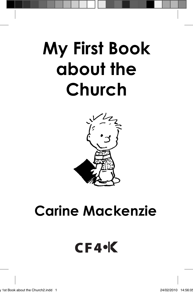# **My First Book about the Church**



## **Carine Mackenzie**

### $CF4<sup>o</sup>K$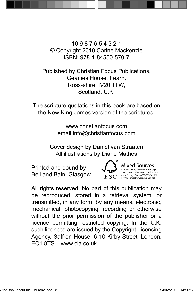10 9 8 7 6 5 4 3 2 1 © Copyright 2010 Carine Mackenzie ISBN: 978-1-84550-570-7

Published by Christian Focus Publications, Geanies House, Fearn, Ross-shire, IV20 1TW, Scotland, U.K.

The scripture quotations in this book are based on the New King James version of the scriptures.

> www.christianfocus.com email:info@christianfocus.com

Cover design by Daniel van Straaten All illustrations by Diane Mathes

Printed and bound by Bell and Bain, Glasgow



**Mixed Sources Product group fr om well-managed forests and other controlled sources www.fsc.org Cert no. TT-COC-002769 © 1996 Forest Stewardship Council**

All rights reserved. No part of this publication may be reproduced, stored in a retrieval system, or transmitted, in any form, by any means, electronic, mechanical, photocopying, recording or otherwise without the prior permission of the publisher or a licence permitting restricted copying. In the U.K. such licences are issued by the Copyright Licensing Agency, Saffron House, 6-10 Kirby Street, London, EC1 8TS. www.cla.co.uk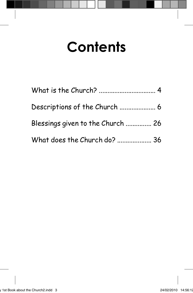# **Contents**

| Blessings given to the Church  26 |  |
|-----------------------------------|--|
| What does the Church do?  36      |  |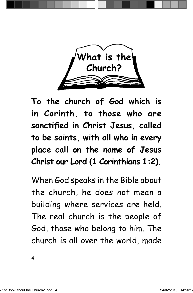

**To the church of God which is in Corinth, to those who are**  sanctified in Christ Jesus, called **to be saints, with all who in every place call on the name of Jesus Christ our Lord (1 Corinthians 1:2).**

When God speaks in the Bible about the church, he does not mean a building where services are held. The real church is the people of God, those who belong to him. The church is all over the world, made

4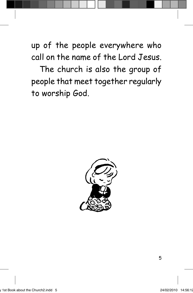up of the people everywhere who call on the name of the Lord Jesus.

The church is also the group of people that meet together regularly to worship God.

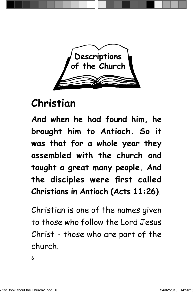

### **Christian**

**And when he had found him, he brought him to Antioch. So it was that for a whole year they assembled with the church and taught a great many people. And**  the disciples were first called **Christians in Antioch (Acts 11:26).**

Christian is one of the names given to those who follow the Lord Jesus Christ - those who are part of the church.

6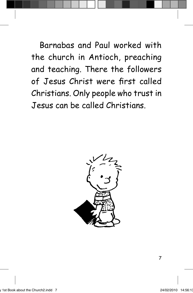Barnabas and Paul worked with the church in Antioch, preaching and teaching. There the followers of Jesus Christ were first called Christians. Only people who trust in Jesus can be called Christians.

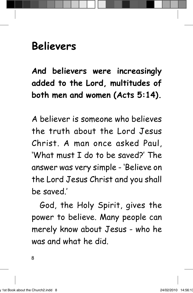#### **Believers**

**And believers were increasingly added to the Lord, multitudes of both men and women (Acts 5:14).**

A believer is someone who believes the truth about the Lord Jesus Christ. A man once asked Paul, 'What must I do to be saved?' The answer was very simple - 'Believe on the Lord Jesus Christ and you shall be saved.'

God, the Holy Spirit, gives the power to believe. Many people can merely know about Jesus - who he was and what he did.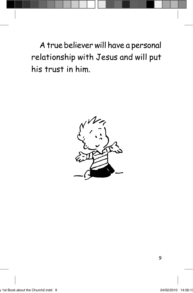A true believer will have a personal relationship with Jesus and will put his trust in him.